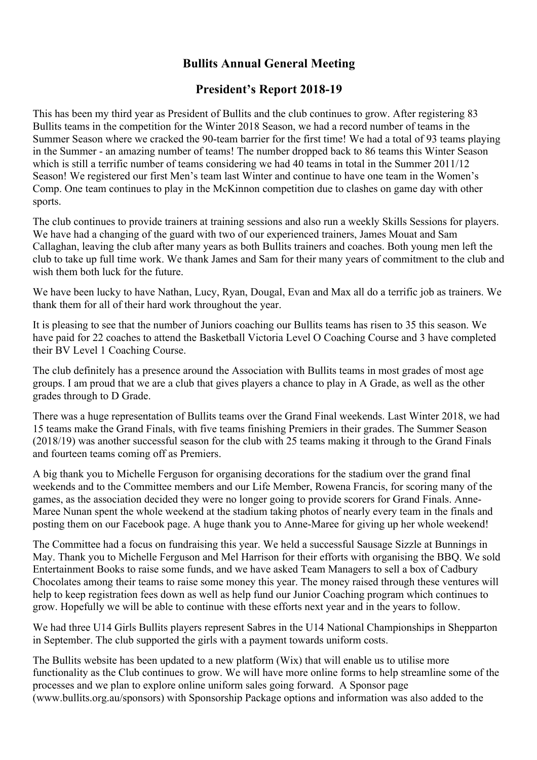## **Bullits Annual General Meeting**

## **President's Report 2018-19**

This has been my third year as President of Bullits and the club continues to grow. After registering 83 Bullits teams in the competition for the Winter 2018 Season, we had a record number of teams in the Summer Season where we cracked the 90-team barrier for the first time! We had a total of 93 teams playing in the Summer - an amazing number of teams! The number dropped back to 86 teams this Winter Season which is still a terrific number of teams considering we had 40 teams in total in the Summer 2011/12 Season! We registered our first Men's team last Winter and continue to have one team in the Women's Comp. One team continues to play in the McKinnon competition due to clashes on game day with other sports.

The club continues to provide trainers at training sessions and also run a weekly Skills Sessions for players. We have had a changing of the guard with two of our experienced trainers, James Mouat and Sam Callaghan, leaving the club after many years as both Bullits trainers and coaches. Both young men left the club to take up full time work. We thank James and Sam for their many years of commitment to the club and wish them both luck for the future.

We have been lucky to have Nathan, Lucy, Ryan, Dougal, Evan and Max all do a terrific job as trainers. We thank them for all of their hard work throughout the year.

It is pleasing to see that the number of Juniors coaching our Bullits teams has risen to 35 this season. We have paid for 22 coaches to attend the Basketball Victoria Level O Coaching Course and 3 have completed their BV Level 1 Coaching Course.

The club definitely has a presence around the Association with Bullits teams in most grades of most age groups. I am proud that we are a club that gives players a chance to play in A Grade, as well as the other grades through to D Grade.

There was a huge representation of Bullits teams over the Grand Final weekends. Last Winter 2018, we had 15 teams make the Grand Finals, with five teams finishing Premiers in their grades. The Summer Season (2018/19) was another successful season for the club with 25 teams making it through to the Grand Finals and fourteen teams coming off as Premiers.

A big thank you to Michelle Ferguson for organising decorations for the stadium over the grand final weekends and to the Committee members and our Life Member, Rowena Francis, for scoring many of the games, as the association decided they were no longer going to provide scorers for Grand Finals. Anne-Maree Nunan spent the whole weekend at the stadium taking photos of nearly every team in the finals and posting them on our Facebook page. A huge thank you to Anne-Maree for giving up her whole weekend!

The Committee had a focus on fundraising this year. We held a successful Sausage Sizzle at Bunnings in May. Thank you to Michelle Ferguson and Mel Harrison for their efforts with organising the BBQ. We sold Entertainment Books to raise some funds, and we have asked Team Managers to sell a box of Cadbury Chocolates among their teams to raise some money this year. The money raised through these ventures will help to keep registration fees down as well as help fund our Junior Coaching program which continues to grow. Hopefully we will be able to continue with these efforts next year and in the years to follow.

We had three U14 Girls Bullits players represent Sabres in the U14 National Championships in Shepparton in September. The club supported the girls with a payment towards uniform costs.

The Bullits website has been updated to a new platform (Wix) that will enable us to utilise more functionality as the Club continues to grow. We will have more online forms to help streamline some of the processes and we plan to explore online uniform sales going forward. A Sponsor page (www.bullits.org.au/sponsors) with Sponsorship Package options and information was also added to the